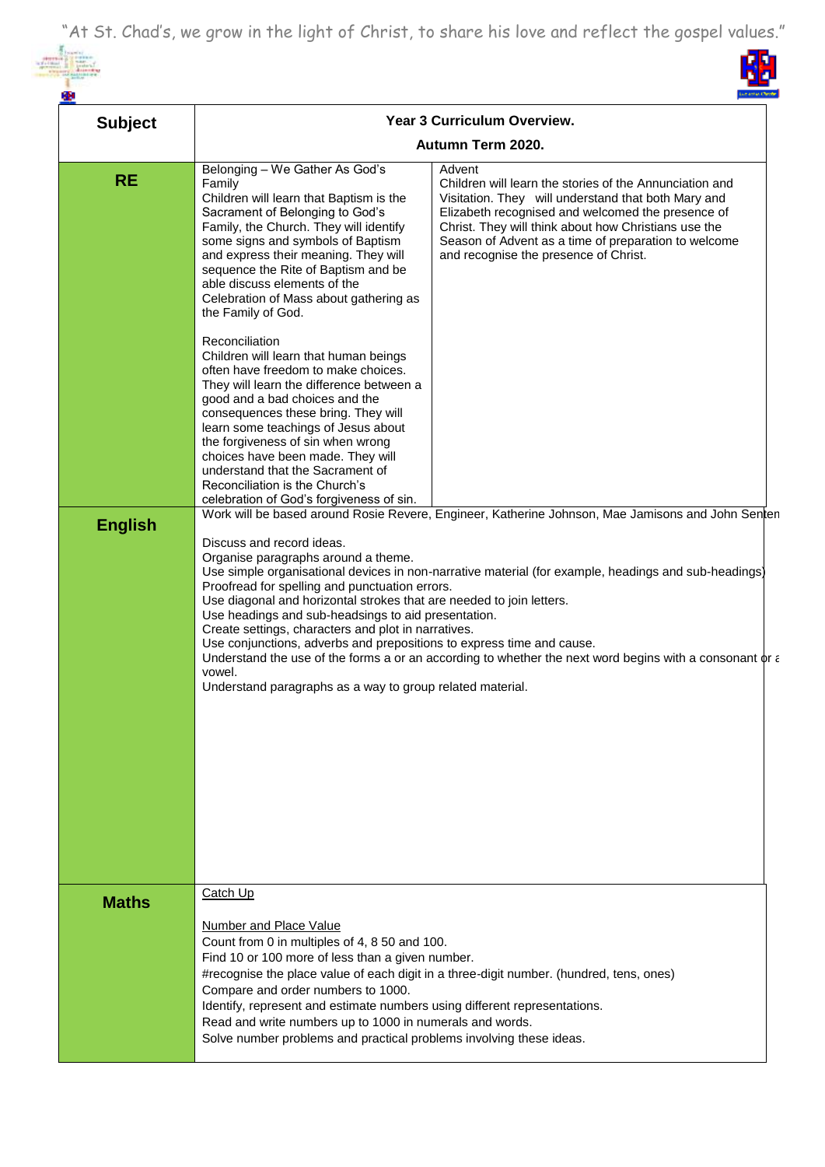"At St. Chad's, we grow in the light of Christ, to share his love and reflect the gospel values."

<u>in</u>



| <b>Subject</b> | Year 3 Curriculum Overview.<br>Autumn Term 2020.                                                                                                                                                                                                                                                                                                                                                                                                                                                                                                                                                                                                                                                                                                                                         |                                                                                                                                                                                                                                                                                                                                        |  |
|----------------|------------------------------------------------------------------------------------------------------------------------------------------------------------------------------------------------------------------------------------------------------------------------------------------------------------------------------------------------------------------------------------------------------------------------------------------------------------------------------------------------------------------------------------------------------------------------------------------------------------------------------------------------------------------------------------------------------------------------------------------------------------------------------------------|----------------------------------------------------------------------------------------------------------------------------------------------------------------------------------------------------------------------------------------------------------------------------------------------------------------------------------------|--|
|                |                                                                                                                                                                                                                                                                                                                                                                                                                                                                                                                                                                                                                                                                                                                                                                                          |                                                                                                                                                                                                                                                                                                                                        |  |
| <b>RE</b>      | Belonging - We Gather As God's<br>Family<br>Children will learn that Baptism is the<br>Sacrament of Belonging to God's<br>Family, the Church. They will identify<br>some signs and symbols of Baptism<br>and express their meaning. They will<br>sequence the Rite of Baptism and be<br>able discuss elements of the<br>Celebration of Mass about gathering as<br>the Family of God.                                                                                                                                                                                                                                                                                                                                                                                                     | Advent<br>Children will learn the stories of the Annunciation and<br>Visitation. They will understand that both Mary and<br>Elizabeth recognised and welcomed the presence of<br>Christ. They will think about how Christians use the<br>Season of Advent as a time of preparation to welcome<br>and recognise the presence of Christ. |  |
|                | Reconciliation<br>Children will learn that human beings<br>often have freedom to make choices.<br>They will learn the difference between a<br>good and a bad choices and the<br>consequences these bring. They will<br>learn some teachings of Jesus about<br>the forgiveness of sin when wrong<br>choices have been made. They will<br>understand that the Sacrament of<br>Reconciliation is the Church's<br>celebration of God's forgiveness of sin.                                                                                                                                                                                                                                                                                                                                   |                                                                                                                                                                                                                                                                                                                                        |  |
| <b>English</b> | Work will be based around Rosie Revere, Engineer, Katherine Johnson, Mae Jamisons and John Senten<br>Discuss and record ideas.<br>Organise paragraphs around a theme.<br>Use simple organisational devices in non-narrative material (for example, headings and sub-headings)<br>Proofread for spelling and punctuation errors.<br>Use diagonal and horizontal strokes that are needed to join letters.<br>Use headings and sub-headsings to aid presentation.<br>Create settings, characters and plot in narratives.<br>Use conjunctions, adverbs and prepositions to express time and cause.<br>Understand the use of the forms a or an according to whether the next word begins with a consonant $\phi r \in$<br>vowel.<br>Understand paragraphs as a way to group related material. |                                                                                                                                                                                                                                                                                                                                        |  |
| <b>Maths</b>   | Catch Up<br><b>Number and Place Value</b><br>Count from 0 in multiples of 4, 8 50 and 100.<br>Find 10 or 100 more of less than a given number.<br>#recognise the place value of each digit in a three-digit number. (hundred, tens, ones)<br>Compare and order numbers to 1000.<br>Identify, represent and estimate numbers using different representations.<br>Read and write numbers up to 1000 in numerals and words.<br>Solve number problems and practical problems involving these ideas.                                                                                                                                                                                                                                                                                          |                                                                                                                                                                                                                                                                                                                                        |  |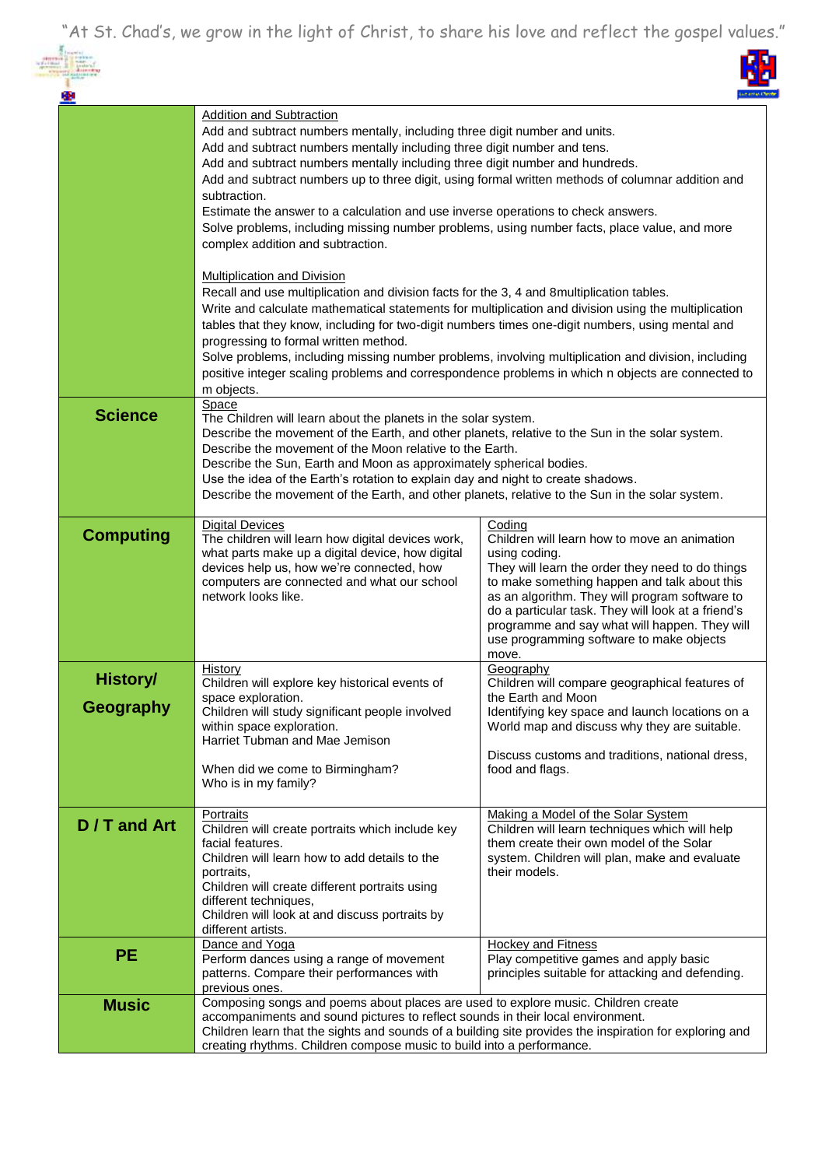"At St. Chad's, we grow in the light of Christ, to share his love and reflect the gospel values."



| 粵                            |                                                                                                                                                                                                                                                                                                                                                                                                                                                                                                                                                                                                                                                                                                                                                                                                                                                                                                                                                                          | ut estas O                                                                                                                                                                                                                                                                                                                                                                                |
|------------------------------|--------------------------------------------------------------------------------------------------------------------------------------------------------------------------------------------------------------------------------------------------------------------------------------------------------------------------------------------------------------------------------------------------------------------------------------------------------------------------------------------------------------------------------------------------------------------------------------------------------------------------------------------------------------------------------------------------------------------------------------------------------------------------------------------------------------------------------------------------------------------------------------------------------------------------------------------------------------------------|-------------------------------------------------------------------------------------------------------------------------------------------------------------------------------------------------------------------------------------------------------------------------------------------------------------------------------------------------------------------------------------------|
|                              | <b>Addition and Subtraction</b><br>Add and subtract numbers mentally, including three digit number and units.<br>Add and subtract numbers mentally including three digit number and tens.<br>Add and subtract numbers mentally including three digit number and hundreds.<br>Add and subtract numbers up to three digit, using formal written methods of columnar addition and<br>subtraction.<br>Estimate the answer to a calculation and use inverse operations to check answers.<br>Solve problems, including missing number problems, using number facts, place value, and more<br>complex addition and subtraction.<br><b>Multiplication and Division</b><br>Recall and use multiplication and division facts for the 3, 4 and 8 multiplication tables.<br>Write and calculate mathematical statements for multiplication and division using the multiplication<br>tables that they know, including for two-digit numbers times one-digit numbers, using mental and |                                                                                                                                                                                                                                                                                                                                                                                           |
|                              | progressing to formal written method.<br>Solve problems, including missing number problems, involving multiplication and division, including<br>positive integer scaling problems and correspondence problems in which n objects are connected to<br>m objects.                                                                                                                                                                                                                                                                                                                                                                                                                                                                                                                                                                                                                                                                                                          |                                                                                                                                                                                                                                                                                                                                                                                           |
| <b>Science</b>               | Space<br>The Children will learn about the planets in the solar system.<br>Describe the movement of the Earth, and other planets, relative to the Sun in the solar system.<br>Describe the movement of the Moon relative to the Earth.<br>Describe the Sun, Earth and Moon as approximately spherical bodies.<br>Use the idea of the Earth's rotation to explain day and night to create shadows.<br>Describe the movement of the Earth, and other planets, relative to the Sun in the solar system.                                                                                                                                                                                                                                                                                                                                                                                                                                                                     |                                                                                                                                                                                                                                                                                                                                                                                           |
| <b>Computing</b>             | <b>Digital Devices</b><br>The children will learn how digital devices work,<br>what parts make up a digital device, how digital<br>devices help us, how we're connected, how<br>computers are connected and what our school<br>network looks like.                                                                                                                                                                                                                                                                                                                                                                                                                                                                                                                                                                                                                                                                                                                       | Coding<br>Children will learn how to move an animation<br>using coding.<br>They will learn the order they need to do things<br>to make something happen and talk about this<br>as an algorithm. They will program software to<br>do a particular task. They will look at a friend's<br>programme and say what will happen. They will<br>use programming software to make objects<br>move. |
| <b>History/</b><br>Geography | History<br>Children will explore key historical events of<br>space exploration.<br>Children will study significant people involved<br>within space exploration.<br>Harriet Tubman and Mae Jemison<br>When did we come to Birmingham?<br>Who is in my family?                                                                                                                                                                                                                                                                                                                                                                                                                                                                                                                                                                                                                                                                                                             | Geography<br>Children will compare geographical features of<br>the Earth and Moon<br>Identifying key space and launch locations on a<br>World map and discuss why they are suitable.<br>Discuss customs and traditions, national dress,<br>food and flags.                                                                                                                                |
| D / T and Art                | Portraits<br>Children will create portraits which include key<br>facial features.<br>Children will learn how to add details to the<br>portraits.<br>Children will create different portraits using<br>different techniques,<br>Children will look at and discuss portraits by<br>different artists.                                                                                                                                                                                                                                                                                                                                                                                                                                                                                                                                                                                                                                                                      | Making a Model of the Solar System<br>Children will learn techniques which will help<br>them create their own model of the Solar<br>system. Children will plan, make and evaluate<br>their models.                                                                                                                                                                                        |
| <b>PE</b>                    | Dance and Yoga<br>Perform dances using a range of movement<br>patterns. Compare their performances with<br>previous ones.                                                                                                                                                                                                                                                                                                                                                                                                                                                                                                                                                                                                                                                                                                                                                                                                                                                | <b>Hockey and Fitness</b><br>Play competitive games and apply basic<br>principles suitable for attacking and defending.                                                                                                                                                                                                                                                                   |
| <b>Music</b>                 | Composing songs and poems about places are used to explore music. Children create<br>accompaniments and sound pictures to reflect sounds in their local environment.<br>Children learn that the sights and sounds of a building site provides the inspiration for exploring and<br>creating rhythms. Children compose music to build into a performance.                                                                                                                                                                                                                                                                                                                                                                                                                                                                                                                                                                                                                 |                                                                                                                                                                                                                                                                                                                                                                                           |